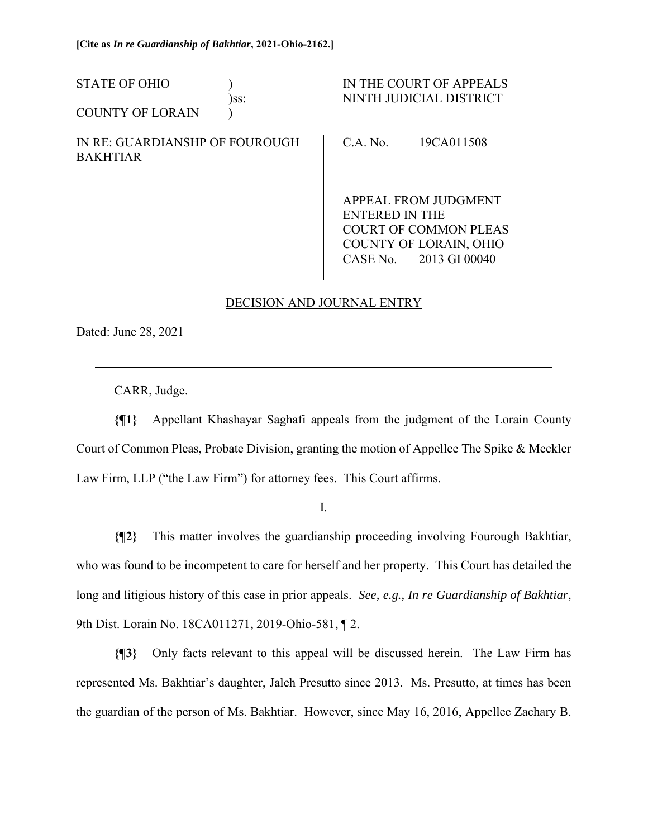| <b>STATE OF OHIO</b>                              | )ss: |                                                               | IN THE COURT OF APPEALS<br>NINTH JUDICIAL DISTRICT |  |
|---------------------------------------------------|------|---------------------------------------------------------------|----------------------------------------------------|--|
| <b>COUNTY OF LORAIN</b>                           |      |                                                               |                                                    |  |
| IN RE: GUARDIANSHP OF FOUROUGH<br><b>BAKHTIAR</b> |      | C.A. No.                                                      | 19CA011508                                         |  |
|                                                   |      | APPEAL FROM JUDGMENT<br>ENTERED IN THE                        |                                                    |  |
|                                                   |      | <b>COURT OF COMMON PLEAS</b><br><b>COUNTY OF LORAIN, OHIO</b> |                                                    |  |

## DECISION AND JOURNAL ENTRY

CASE No. 2013 GI 00040

Dated: June 28, 2021

 $\overline{a}$ 

CARR, Judge.

**{¶1}** Appellant Khashayar Saghafi appeals from the judgment of the Lorain County Court of Common Pleas, Probate Division, granting the motion of Appellee The Spike & Meckler Law Firm, LLP ("the Law Firm") for attorney fees. This Court affirms.

I.

**{¶2}** This matter involves the guardianship proceeding involving Fourough Bakhtiar, who was found to be incompetent to care for herself and her property. This Court has detailed the long and litigious history of this case in prior appeals. *See, e.g., In re Guardianship of Bakhtiar*, 9th Dist. Lorain No. 18CA011271, 2019-Ohio-581, ¶ 2.

**{¶3}** Only facts relevant to this appeal will be discussed herein. The Law Firm has represented Ms. Bakhtiar's daughter, Jaleh Presutto since 2013. Ms. Presutto, at times has been the guardian of the person of Ms. Bakhtiar. However, since May 16, 2016, Appellee Zachary B.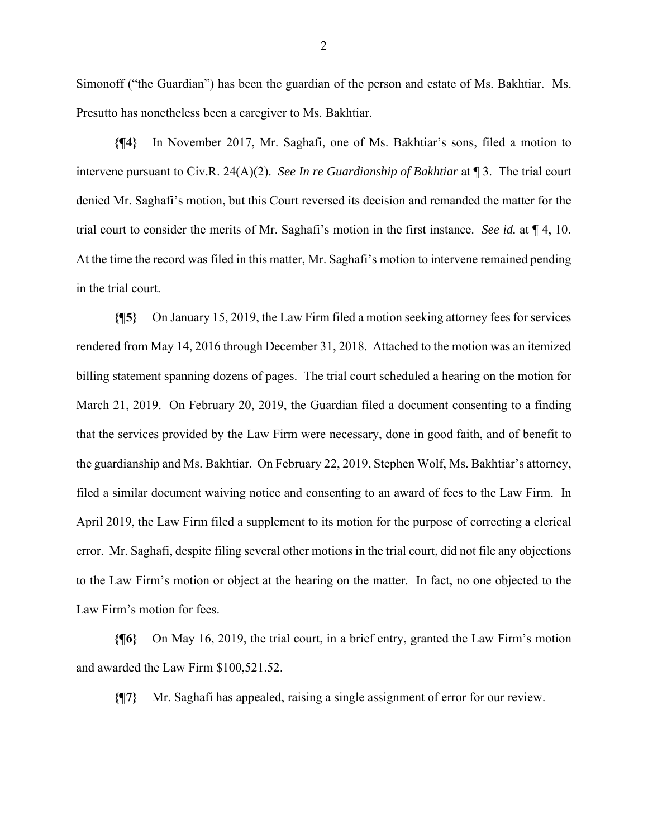Simonoff ("the Guardian") has been the guardian of the person and estate of Ms. Bakhtiar. Ms. Presutto has nonetheless been a caregiver to Ms. Bakhtiar.

**{¶4}** In November 2017, Mr. Saghafi, one of Ms. Bakhtiar's sons, filed a motion to intervene pursuant to Civ.R. 24(A)(2). *See In re Guardianship of Bakhtiar* at ¶ 3. The trial court denied Mr. Saghafi's motion, but this Court reversed its decision and remanded the matter for the trial court to consider the merits of Mr. Saghafi's motion in the first instance. *See id.* at ¶ 4, 10. At the time the record was filed in this matter, Mr. Saghafi's motion to intervene remained pending in the trial court.

**{¶5}** On January 15, 2019, the Law Firm filed a motion seeking attorney fees for services rendered from May 14, 2016 through December 31, 2018. Attached to the motion was an itemized billing statement spanning dozens of pages. The trial court scheduled a hearing on the motion for March 21, 2019. On February 20, 2019, the Guardian filed a document consenting to a finding that the services provided by the Law Firm were necessary, done in good faith, and of benefit to the guardianship and Ms. Bakhtiar. On February 22, 2019, Stephen Wolf, Ms. Bakhtiar's attorney, filed a similar document waiving notice and consenting to an award of fees to the Law Firm. In April 2019, the Law Firm filed a supplement to its motion for the purpose of correcting a clerical error. Mr. Saghafi, despite filing several other motions in the trial court, did not file any objections to the Law Firm's motion or object at the hearing on the matter. In fact, no one objected to the Law Firm's motion for fees.

**{¶6}** On May 16, 2019, the trial court, in a brief entry, granted the Law Firm's motion and awarded the Law Firm \$100,521.52.

**{¶7}** Mr. Saghafi has appealed, raising a single assignment of error for our review.

2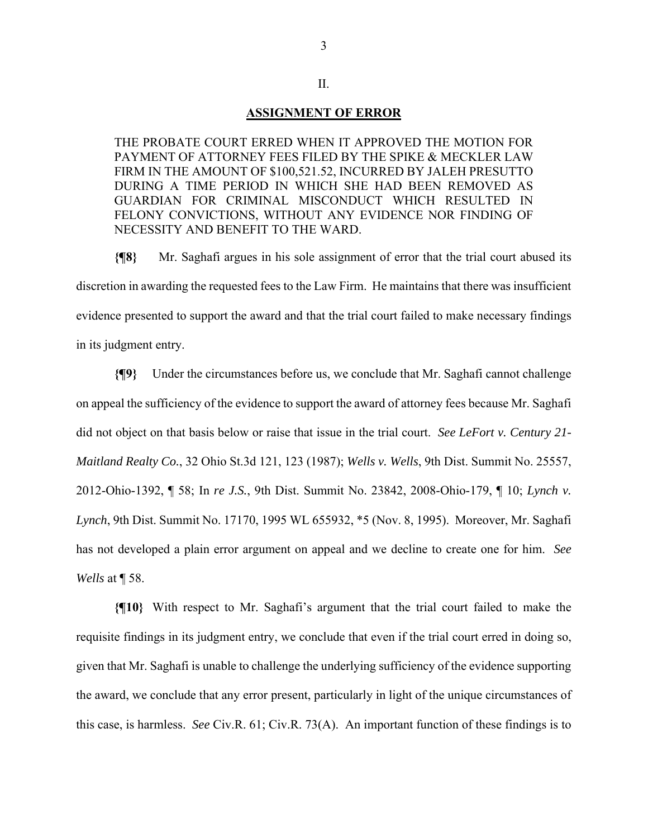## **ASSIGNMENT OF ERROR**

II.

THE PROBATE COURT ERRED WHEN IT APPROVED THE MOTION FOR PAYMENT OF ATTORNEY FEES FILED BY THE SPIKE & MECKLER LAW FIRM IN THE AMOUNT OF \$100,521.52, INCURRED BY JALEH PRESUTTO DURING A TIME PERIOD IN WHICH SHE HAD BEEN REMOVED AS GUARDIAN FOR CRIMINAL MISCONDUCT WHICH RESULTED IN FELONY CONVICTIONS, WITHOUT ANY EVIDENCE NOR FINDING OF NECESSITY AND BENEFIT TO THE WARD.

**{¶8}** Mr. Saghafi argues in his sole assignment of error that the trial court abused its discretion in awarding the requested fees to the Law Firm. He maintains that there was insufficient evidence presented to support the award and that the trial court failed to make necessary findings in its judgment entry.

**{¶9}** Under the circumstances before us, we conclude that Mr. Saghafi cannot challenge on appeal the sufficiency of the evidence to support the award of attorney fees because Mr. Saghafi did not object on that basis below or raise that issue in the trial court. *See LeFort v. Century 21- Maitland Realty Co.*, 32 Ohio St.3d 121, 123 (1987); *Wells v. Wells*, 9th Dist. Summit No. 25557, 2012-Ohio-1392, ¶ 58; In *re J.S.*, 9th Dist. Summit No. 23842, 2008-Ohio-179, ¶ 10; *Lynch v. Lynch*, 9th Dist. Summit No. 17170, 1995 WL 655932, \*5 (Nov. 8, 1995). Moreover, Mr. Saghafi has not developed a plain error argument on appeal and we decline to create one for him. *See Wells* at ¶ 58.

**{¶10}** With respect to Mr. Saghafi's argument that the trial court failed to make the requisite findings in its judgment entry, we conclude that even if the trial court erred in doing so, given that Mr. Saghafi is unable to challenge the underlying sufficiency of the evidence supporting the award, we conclude that any error present, particularly in light of the unique circumstances of this case, is harmless. *See* Civ.R. 61; Civ.R. 73(A). An important function of these findings is to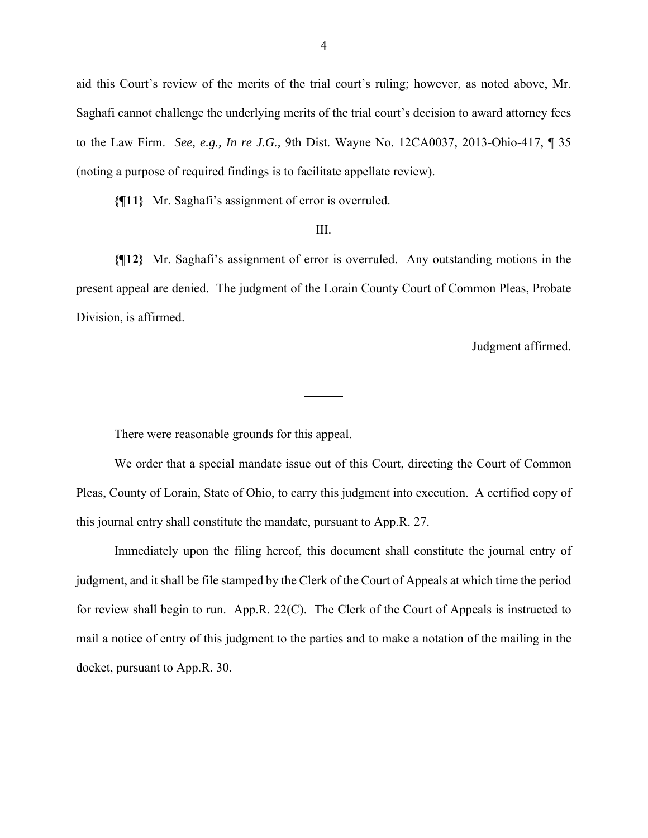aid this Court's review of the merits of the trial court's ruling; however, as noted above, Mr. Saghafi cannot challenge the underlying merits of the trial court's decision to award attorney fees to the Law Firm. *See, e.g., In re J.G.,* 9th Dist. Wayne No. 12CA0037, 2013-Ohio-417, ¶ 35 (noting a purpose of required findings is to facilitate appellate review).

**{¶11}** Mr. Saghafi's assignment of error is overruled.

## III.

**{¶12}** Mr. Saghafi's assignment of error is overruled. Any outstanding motions in the present appeal are denied. The judgment of the Lorain County Court of Common Pleas, Probate Division, is affirmed.

 $\overline{a}$ 

Judgment affirmed.

There were reasonable grounds for this appeal.

 We order that a special mandate issue out of this Court, directing the Court of Common Pleas, County of Lorain, State of Ohio, to carry this judgment into execution. A certified copy of this journal entry shall constitute the mandate, pursuant to App.R. 27.

 Immediately upon the filing hereof, this document shall constitute the journal entry of judgment, and it shall be file stamped by the Clerk of the Court of Appeals at which time the period for review shall begin to run. App.R. 22(C). The Clerk of the Court of Appeals is instructed to mail a notice of entry of this judgment to the parties and to make a notation of the mailing in the docket, pursuant to App.R. 30.